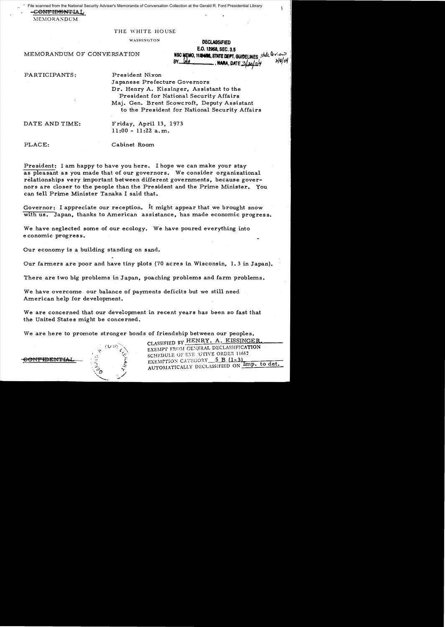-C<del>ONFIDENT</del>IAL File scanned from the National Security Adviser's Memoranda of Conversation Collection at the Gerald R. Ford Presidential Library

 $MEMORANDUM$ 

## THE WHITE HOUSE

WASHINGTON DECLASSIFIED E.O. 12968, SEC. 3.5 MEMORANDUM OF CONVERSATION NSC WELLO, 114 WIS. STATE DEPT. GUIDELINES state devote.  $\frac{BY - M}{A}$ , MARA, DATE  $\frac{3}{2}$   $\frac{1}{2}$   $\frac{1}{2}$   $\frac{1}{8}$   $\frac{3}{9}$   $\frac{1}{9}$ 

PARTICIPANTS: President Nixon

Japanese Prefecture Governors Dr. Henry A. Kissinger, Assistant to the President for National Security Affairs Maj. Gen. Brent Scowcroft, Deputy Assistant to the President for National Security Affairs

DATE AND TIME: Friday, April 13, 1973 11:00 - 11:22 a.m.

PLACE: Cabinet Room

President: I am happy to have *you* here. I hope we can make *your* stay as pleasant as *you* made that of our governors. We consider organizational relationships very important between different governments, because governors are closer to the people than the President and the Prime Minister. You can tell Prime Minister Tanaka I said that.

Governor: I appreciate our reception. It might appear that we brought snow with us. Japan, thanks to American assistance, has made economic progress.

We have neglected some of our ecology. We have poured everything into economic progress.

Our economy is a building standing on sand.

Our farmers are poor and have tiny plots (70 acres in Wisconsin, 1.3 in Japan).

There are two big problems in Japan, poaching problems and farm problems.

We have overcome our balance of payments deficits but we still need American help for development.

We are concerned that our development in recent years has been so fast that the United States might be concerned.

We are here to promote stronger bonds of friendship between our peoples.

CLASSIFIED BY HENRY. A. KISSINGER. EXEMPT FROM GENERAL DECLASSIFICATION SCHEDULE OF EXECUTIVE ORDER 11652 **EDENTIAL**  $\widetilde{X}$  EXEMPTION CATEGORY 5 B (1-3) AUTOMATICALLY DECLASSIFIED ON Imp. to det.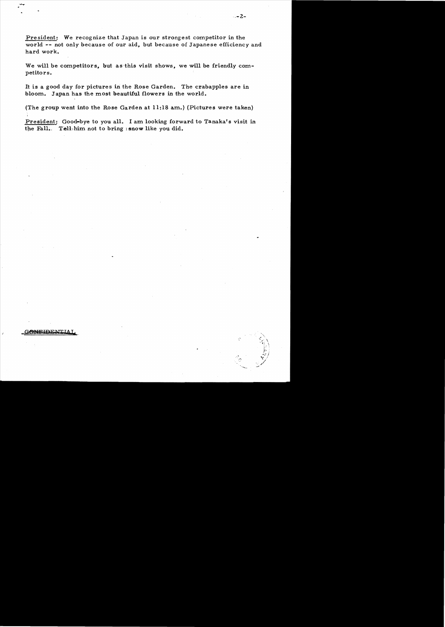President: We recognize that Japan is our strongest competitor in the world **--** not only because of our aid, but because of Japanese efficiency and hard work.

We will be competitors, but as this visit shows, we will be friendly competitors.

It is a good day for pictures in the Rose Garden. The crabapples are in bloom. Japan has the most beautiful flowers in the world.

(The group went into the Rose Garden at 11:18 am.) (Pictures were taken)

President: Good-bye to you all. I am looking forward to Tanaka's visit in the Fall. Tell: him not to bring isnow like you did.

 $-2-$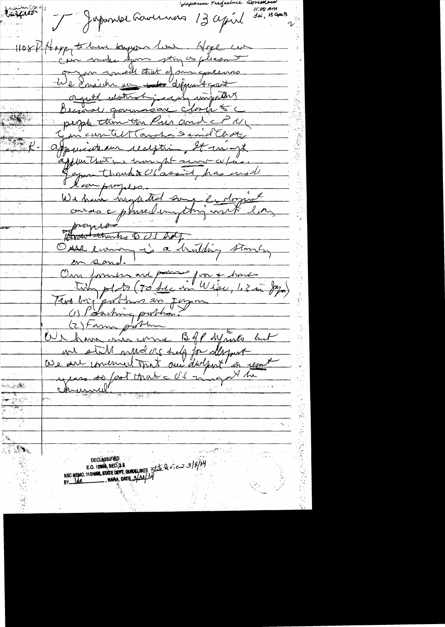11:00 Am<br>Jui, 13 aprili Enciences J Japonse Lavernas 13 april 1108 A Hoppy to leave bayon live. Hope can Com make you stry as pleasant gregan concelled that of anniquesnes We Ensider un 11 dépendant orgatt motor is in important people thing the Princend of M jur cantel Taraha Semel Clidt, Spruisteam reception, It in myt explanations time pt sever culias. equa thanks US assist, has moll We have neglected some la dozent leur progets. proper Brown thanks 2 03 hay Oure commy is a huilding stone, on sand. Our former are paras pour + some portons en Jorgo (1) Potaching problem? (2) Farm problem OUR have one come Boff youth but we still mudas help for desput Oue au concerned tant au doctent en une years so foot Mate OS magathe chemmel  $\mathbb{Z}^n$  ,  $\mathbb{Z}^n$ **DECLASSIFIED** E.O. 12060, SEC. 3.5<br>NSC MEMO, 1112400, STATE DEVT. QUADELINES State Dev. cur 3/3/04